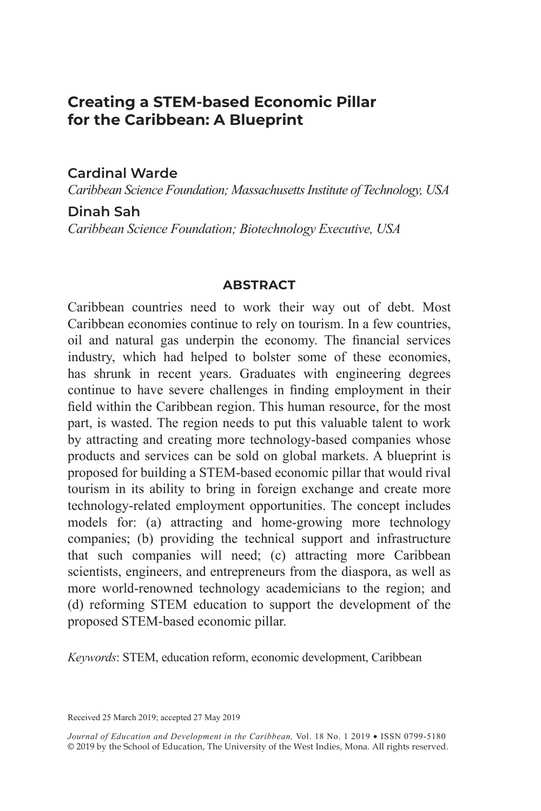# **Creating a STEM-based Economic Pillar for the Caribbean: A Blueprint**

### **Cardinal Warde**

*Caribbean Science Foundation; Massachusetts Institute of Technology, USA*

### **Dinah Sah**  *Caribbean Science Foundation; Biotechnology Executive, USA*

#### **ABSTRACT**

Caribbean countries need to work their way out of debt. Most Caribbean economies continue to rely on tourism. In a few countries, oil and natural gas underpin the economy. The financial services industry, which had helped to bolster some of these economies, has shrunk in recent years. Graduates with engineering degrees continue to have severe challenges in finding employment in their field within the Caribbean region. This human resource, for the most part, is wasted. The region needs to put this valuable talent to work by attracting and creating more technology-based companies whose products and services can be sold on global markets. A blueprint is proposed for building a STEM-based economic pillar that would rival tourism in its ability to bring in foreign exchange and create more technology-related employment opportunities. The concept includes models for: (a) attracting and home-growing more technology companies; (b) providing the technical support and infrastructure that such companies will need; (c) attracting more Caribbean scientists, engineers, and entrepreneurs from the diaspora, as well as more world-renowned technology academicians to the region; and (d) reforming STEM education to support the development of the proposed STEM-based economic pillar.

*Keywords*: STEM, education reform, economic development, Caribbean

Received 25 March 2019; accepted 27 May 2019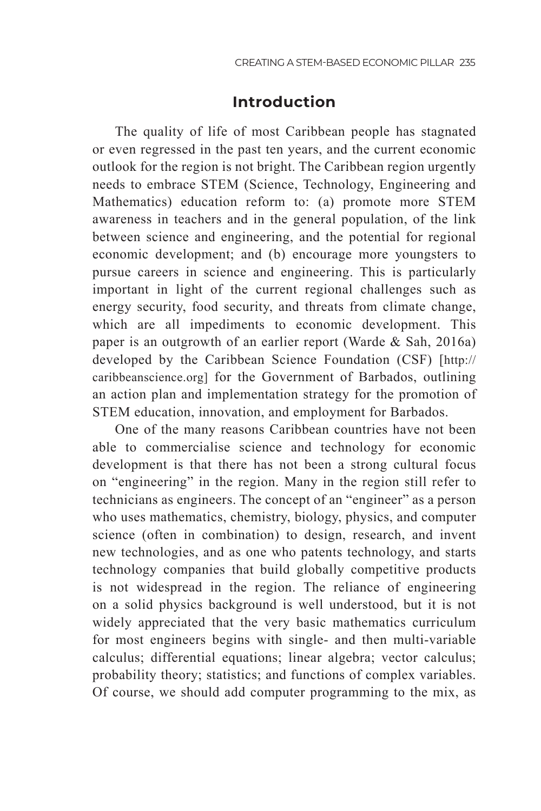## **Introduction**

The quality of life of most Caribbean people has stagnated or even regressed in the past ten years, and the current economic outlook for the region is not bright. The Caribbean region urgently needs to embrace STEM (Science, Technology, Engineering and Mathematics) education reform to: (a) promote more STEM awareness in teachers and in the general population, of the link between science and engineering, and the potential for regional economic development; and (b) encourage more youngsters to pursue careers in science and engineering. This is particularly important in light of the current regional challenges such as energy security, food security, and threats from climate change, which are all impediments to economic development. This paper is an outgrowth of an earlier report (Warde & Sah, 2016a) developed by the Caribbean Science Foundation (CSF) [http:// caribbeanscience.org] for the Government of Barbados, outlining an action plan and implementation strategy for the promotion of STEM education, innovation, and employment for Barbados.

One of the many reasons Caribbean countries have not been able to commercialise science and technology for economic development is that there has not been a strong cultural focus on "engineering" in the region. Many in the region still refer to technicians as engineers. The concept of an "engineer" as a person who uses mathematics, chemistry, biology, physics, and computer science (often in combination) to design, research, and invent new technologies, and as one who patents technology, and starts technology companies that build globally competitive products is not widespread in the region. The reliance of engineering on a solid physics background is well understood, but it is not widely appreciated that the very basic mathematics curriculum for most engineers begins with single- and then multi-variable calculus; differential equations; linear algebra; vector calculus; probability theory; statistics; and functions of complex variables. Of course, we should add computer programming to the mix, as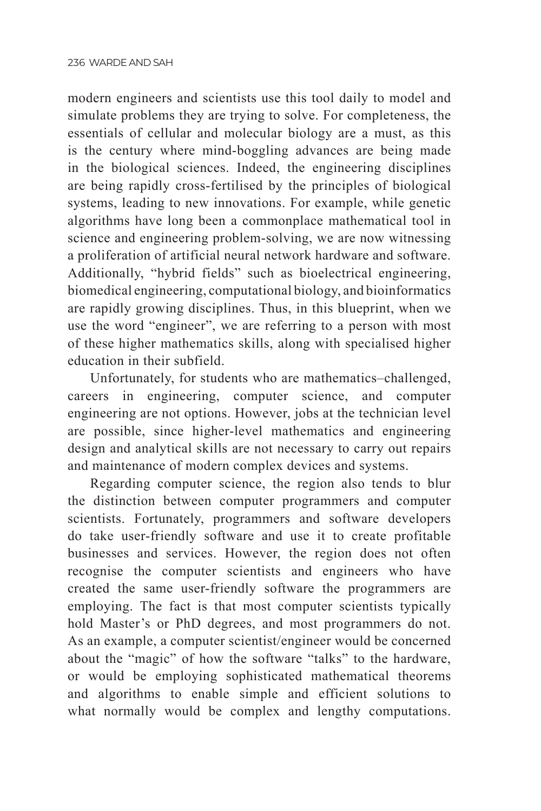modern engineers and scientists use this tool daily to model and simulate problems they are trying to solve. For completeness, the essentials of cellular and molecular biology are a must, as this is the century where mind-boggling advances are being made in the biological sciences. Indeed, the engineering disciplines are being rapidly cross-fertilised by the principles of biological systems, leading to new innovations. For example, while genetic algorithms have long been a commonplace mathematical tool in science and engineering problem-solving, we are now witnessing a proliferation of artificial neural network hardware and software. Additionally, "hybrid fields" such as bioelectrical engineering, biomedical engineering, computational biology, and bioinformatics are rapidly growing disciplines. Thus, in this blueprint, when we use the word "engineer", we are referring to a person with most of these higher mathematics skills, along with specialised higher education in their subfield.

Unfortunately, for students who are mathematics–challenged, careers in engineering, computer science, and computer engineering are not options. However, jobs at the technician level are possible, since higher-level mathematics and engineering design and analytical skills are not necessary to carry out repairs and maintenance of modern complex devices and systems.

Regarding computer science, the region also tends to blur the distinction between computer programmers and computer scientists. Fortunately, programmers and software developers do take user-friendly software and use it to create profitable businesses and services. However, the region does not often recognise the computer scientists and engineers who have created the same user-friendly software the programmers are employing. The fact is that most computer scientists typically hold Master's or PhD degrees, and most programmers do not. As an example, a computer scientist/engineer would be concerned about the "magic" of how the software "talks" to the hardware, or would be employing sophisticated mathematical theorems and algorithms to enable simple and efficient solutions to what normally would be complex and lengthy computations.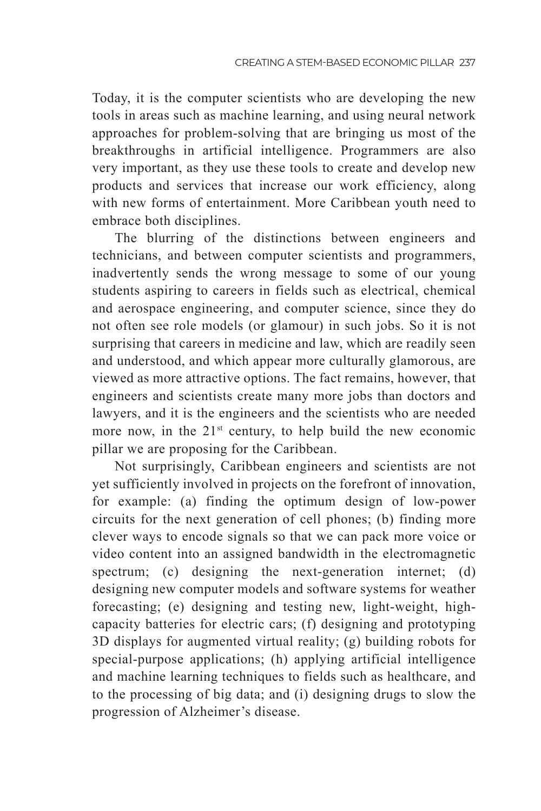Today, it is the computer scientists who are developing the new tools in areas such as machine learning, and using neural network approaches for problem-solving that are bringing us most of the breakthroughs in artificial intelligence. Programmers are also very important, as they use these tools to create and develop new products and services that increase our work efficiency, along with new forms of entertainment. More Caribbean youth need to embrace both disciplines.

The blurring of the distinctions between engineers and technicians, and between computer scientists and programmers, inadvertently sends the wrong message to some of our young students aspiring to careers in fields such as electrical, chemical and aerospace engineering, and computer science, since they do not often see role models (or glamour) in such jobs. So it is not surprising that careers in medicine and law, which are readily seen and understood, and which appear more culturally glamorous, are viewed as more attractive options. The fact remains, however, that engineers and scientists create many more jobs than doctors and lawyers, and it is the engineers and the scientists who are needed more now, in the  $21<sup>st</sup>$  century, to help build the new economic pillar we are proposing for the Caribbean.

Not surprisingly, Caribbean engineers and scientists are not yet sufficiently involved in projects on the forefront of innovation, for example: (a) finding the optimum design of low-power circuits for the next generation of cell phones; (b) finding more clever ways to encode signals so that we can pack more voice or video content into an assigned bandwidth in the electromagnetic spectrum; (c) designing the next-generation internet; (d) designing new computer models and software systems for weather forecasting; (e) designing and testing new, light-weight, highcapacity batteries for electric cars; (f) designing and prototyping 3D displays for augmented virtual reality; (g) building robots for special-purpose applications; (h) applying artificial intelligence and machine learning techniques to fields such as healthcare, and to the processing of big data; and (i) designing drugs to slow the progression of Alzheimer's disease.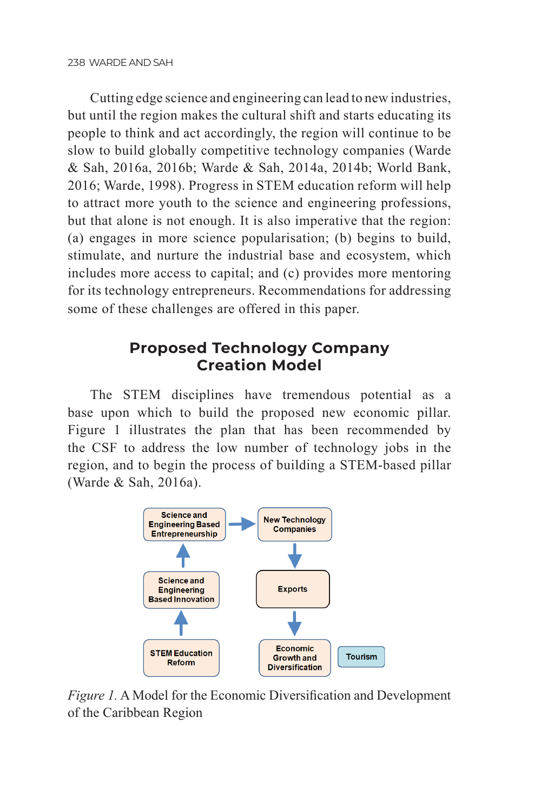Cutting edge science and engineering can lead to new industries, but until the region makes the cultural shift and starts educating its people to think and act accordingly, the region will continue to be slow to build globally competitive technology companies (Warde & Sah, 2016a, 2016b; Warde & Sah, 2014a, 2014b; World Bank, 2016; Warde, 1998). Progress in STEM education reform will help to attract more youth to the science and engineering professions, but that alone is not enough. It is also imperative that the region: (a) engages in more science popularisation; (b) begins to build, stimulate, and nurture the industrial base and ecosystem, which includes more access to capital; and (c) provides more mentoring for its technology entrepreneurs. Recommendations for addressing some of these challenges are offered in this paper.

# **Proposed Technology Company Creation Model**

The STEM disciplines have tremendous potential as a base upon which to build the proposed new economic pillar. Figure 1 illustrates the plan that has been recommended by the CSF to address the low number of technology jobs in the region, and to begin the process of building a STEM-based pillar (Warde & Sah, 2016a).



*Figure 1.* A Model for the Economic Diversification and Development of the Caribbean Region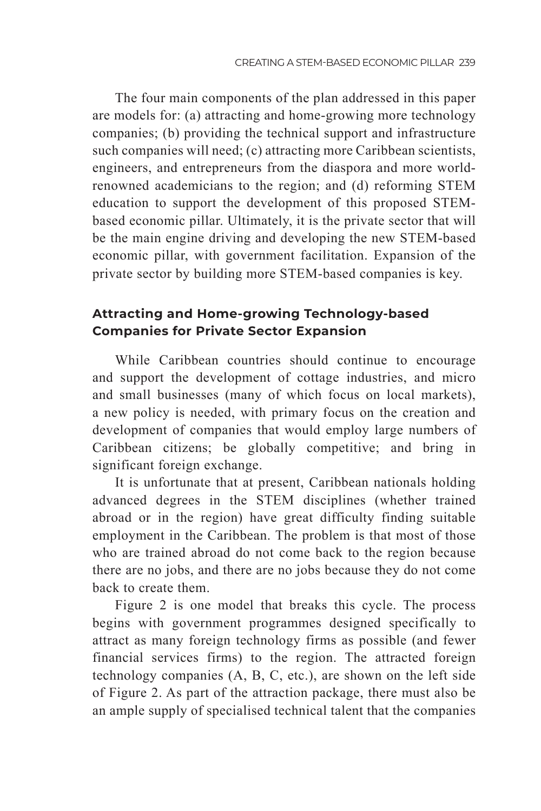The four main components of the plan addressed in this paper are models for: (a) attracting and home-growing more technology companies; (b) providing the technical support and infrastructure such companies will need; (c) attracting more Caribbean scientists, engineers, and entrepreneurs from the diaspora and more worldrenowned academicians to the region; and (d) reforming STEM education to support the development of this proposed STEMbased economic pillar. Ultimately, it is the private sector that will be the main engine driving and developing the new STEM-based economic pillar, with government facilitation. Expansion of the private sector by building more STEM-based companies is key.

## **Attracting and Home-growing Technology-based Companies for Private Sector Expansion**

While Caribbean countries should continue to encourage and support the development of cottage industries, and micro and small businesses (many of which focus on local markets), a new policy is needed, with primary focus on the creation and development of companies that would employ large numbers of Caribbean citizens; be globally competitive; and bring in significant foreign exchange.

It is unfortunate that at present, Caribbean nationals holding advanced degrees in the STEM disciplines (whether trained abroad or in the region) have great difficulty finding suitable employment in the Caribbean. The problem is that most of those who are trained abroad do not come back to the region because there are no jobs, and there are no jobs because they do not come back to create them.

Figure 2 is one model that breaks this cycle. The process begins with government programmes designed specifically to attract as many foreign technology firms as possible (and fewer financial services firms) to the region. The attracted foreign technology companies (A, B, C, etc.), are shown on the left side of Figure 2. As part of the attraction package, there must also be an ample supply of specialised technical talent that the companies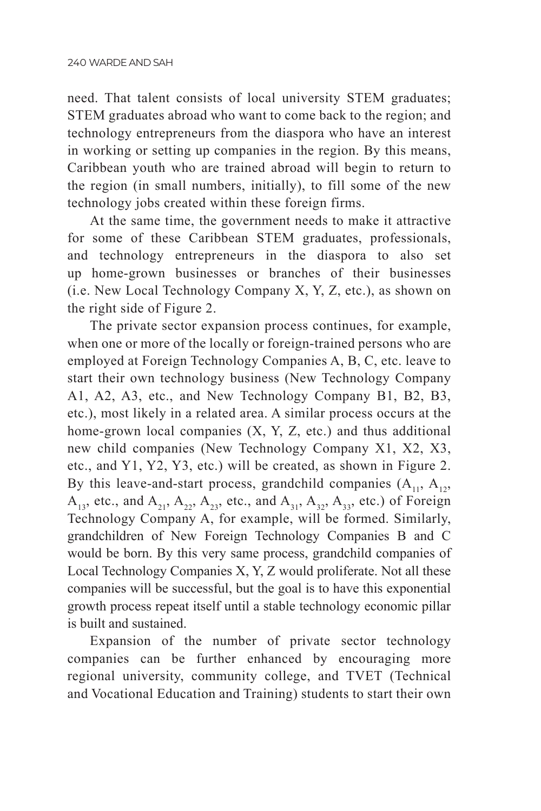need. That talent consists of local university STEM graduates; STEM graduates abroad who want to come back to the region; and technology entrepreneurs from the diaspora who have an interest in working or setting up companies in the region. By this means, Caribbean youth who are trained abroad will begin to return to the region (in small numbers, initially), to fill some of the new technology jobs created within these foreign firms.

At the same time, the government needs to make it attractive for some of these Caribbean STEM graduates, professionals, and technology entrepreneurs in the diaspora to also set up home-grown businesses or branches of their businesses (i.e. New Local Technology Company X, Y, Z, etc.), as shown on the right side of Figure 2.

The private sector expansion process continues, for example, when one or more of the locally or foreign-trained persons who are employed at Foreign Technology Companies A, B, C, etc. leave to start their own technology business (New Technology Company A1, A2, A3, etc., and New Technology Company B1, B2, B3, etc.), most likely in a related area. A similar process occurs at the home-grown local companies  $(X, Y, Z, etc.)$  and thus additional new child companies (New Technology Company X1, X2, X3, etc., and Y1, Y2, Y3, etc.) will be created, as shown in Figure 2. By this leave-and-start process, grandchild companies  $(A_{11}, A_{12}, A_{22})$  $A_{13}$ , etc., and  $A_{21}$ ,  $A_{22}$ ,  $A_{33}$ , etc., and  $A_{31}$ ,  $A_{32}$ ,  $A_{33}$ , etc.) of Foreign Technology Company A, for example, will be formed. Similarly, grandchildren of New Foreign Technology Companies B and C would be born. By this very same process, grandchild companies of Local Technology Companies X, Y, Z would proliferate. Not all these companies will be successful, but the goal is to have this exponential growth process repeat itself until a stable technology economic pillar is built and sustained.

Expansion of the number of private sector technology companies can be further enhanced by encouraging more regional university, community college, and TVET (Technical and Vocational Education and Training) students to start their own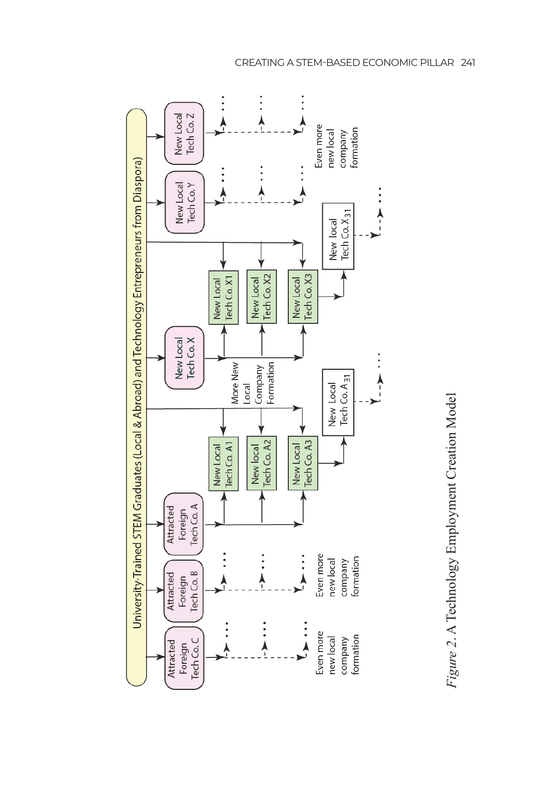

Figure 2. A Technology Employment Creation Model *Figure 2*. A Technology Employment Creation Model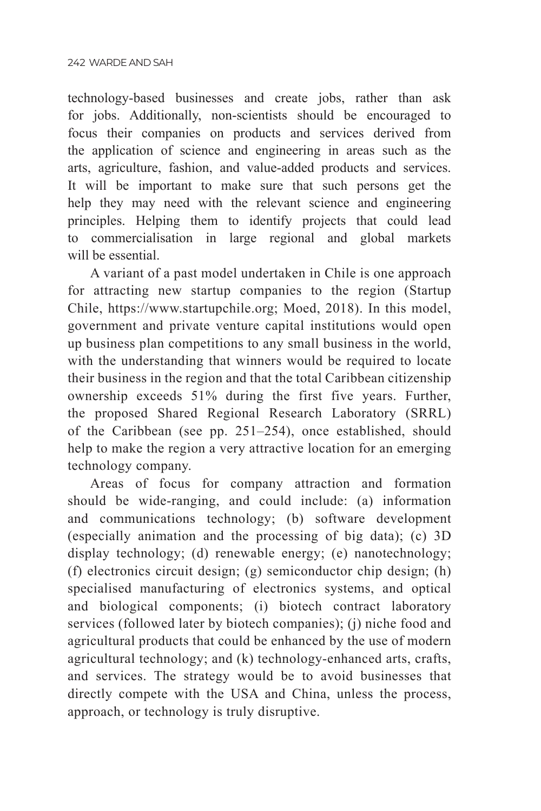technology-based businesses and create jobs, rather than ask for jobs. Additionally, non-scientists should be encouraged to focus their companies on products and services derived from the application of science and engineering in areas such as the arts, agriculture, fashion, and value-added products and services. It will be important to make sure that such persons get the help they may need with the relevant science and engineering principles. Helping them to identify projects that could lead to commercialisation in large regional and global markets will be essential.

A variant of a past model undertaken in Chile is one approach for attracting new startup companies to the region (Startup Chile, https://www.startupchile.org; Moed, 2018). In this model, government and private venture capital institutions would open up business plan competitions to any small business in the world, with the understanding that winners would be required to locate their business in the region and that the total Caribbean citizenship ownership exceeds 51% during the first five years. Further, the proposed Shared Regional Research Laboratory (SRRL) of the Caribbean (see pp. 251–254), once established, should help to make the region a very attractive location for an emerging technology company.

Areas of focus for company attraction and formation should be wide-ranging, and could include: (a) information and communications technology; (b) software development (especially animation and the processing of big data); (c) 3D display technology; (d) renewable energy; (e) nanotechnology; (f) electronics circuit design; (g) semiconductor chip design; (h) specialised manufacturing of electronics systems, and optical and biological components; (i) biotech contract laboratory services (followed later by biotech companies); (j) niche food and agricultural products that could be enhanced by the use of modern agricultural technology; and (k) technology-enhanced arts, crafts, and services. The strategy would be to avoid businesses that directly compete with the USA and China, unless the process, approach, or technology is truly disruptive.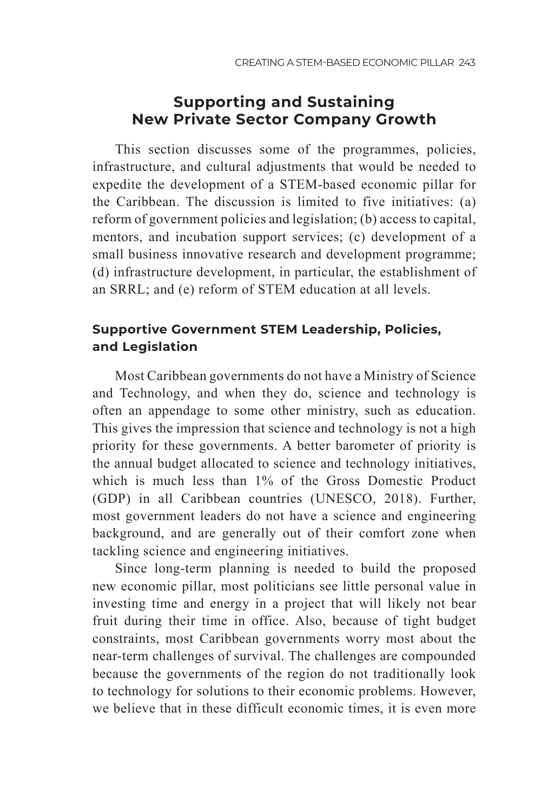# **Supporting and Sustaining New Private Sector Company Growth**

This section discusses some of the programmes, policies, infrastructure, and cultural adjustments that would be needed to expedite the development of a STEM-based economic pillar for the Caribbean. The discussion is limited to five initiatives: (a) reform of government policies and legislation; (b) access to capital, mentors, and incubation support services; (c) development of a small business innovative research and development programme; (d) infrastructure development, in particular, the establishment of an SRRL; and (e) reform of STEM education at all levels.

## **Supportive Government STEM Leadership, Policies, and Legislation**

Most Caribbean governments do not have a Ministry of Science and Technology, and when they do, science and technology is often an appendage to some other ministry, such as education. This gives the impression that science and technology is not a high priority for these governments. A better barometer of priority is the annual budget allocated to science and technology initiatives, which is much less than 1% of the Gross Domestic Product (GDP) in all Caribbean countries (UNESCO, 2018). Further, most government leaders do not have a science and engineering background, and are generally out of their comfort zone when tackling science and engineering initiatives.

Since long-term planning is needed to build the proposed new economic pillar, most politicians see little personal value in investing time and energy in a project that will likely not bear fruit during their time in office. Also, because of tight budget constraints, most Caribbean governments worry most about the near-term challenges of survival. The challenges are compounded because the governments of the region do not traditionally look to technology for solutions to their economic problems. However, we believe that in these difficult economic times, it is even more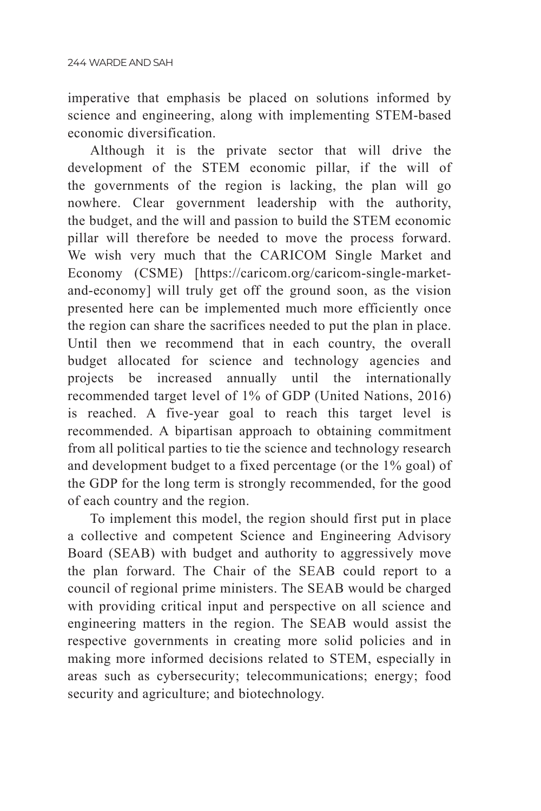imperative that emphasis be placed on solutions informed by science and engineering, along with implementing STEM-based economic diversification.

Although it is the private sector that will drive the development of the STEM economic pillar, if the will of the governments of the region is lacking, the plan will go nowhere. Clear government leadership with the authority, the budget, and the will and passion to build the STEM economic pillar will therefore be needed to move the process forward. We wish very much that the CARICOM Single Market and Economy (CSME) [https://caricom.org/caricom-single-marketand-economy] will truly get off the ground soon, as the vision presented here can be implemented much more efficiently once the region can share the sacrifices needed to put the plan in place. Until then we recommend that in each country, the overall budget allocated for science and technology agencies and projects be increased annually until the internationally recommended target level of 1% of GDP (United Nations, 2016) is reached. A five-year goal to reach this target level is recommended. A bipartisan approach to obtaining commitment from all political parties to tie the science and technology research and development budget to a fixed percentage (or the 1% goal) of the GDP for the long term is strongly recommended, for the good of each country and the region.

To implement this model, the region should first put in place a collective and competent Science and Engineering Advisory Board (SEAB) with budget and authority to aggressively move the plan forward. The Chair of the SEAB could report to a council of regional prime ministers. The SEAB would be charged with providing critical input and perspective on all science and engineering matters in the region. The SEAB would assist the respective governments in creating more solid policies and in making more informed decisions related to STEM, especially in areas such as cybersecurity; telecommunications; energy; food security and agriculture; and biotechnology.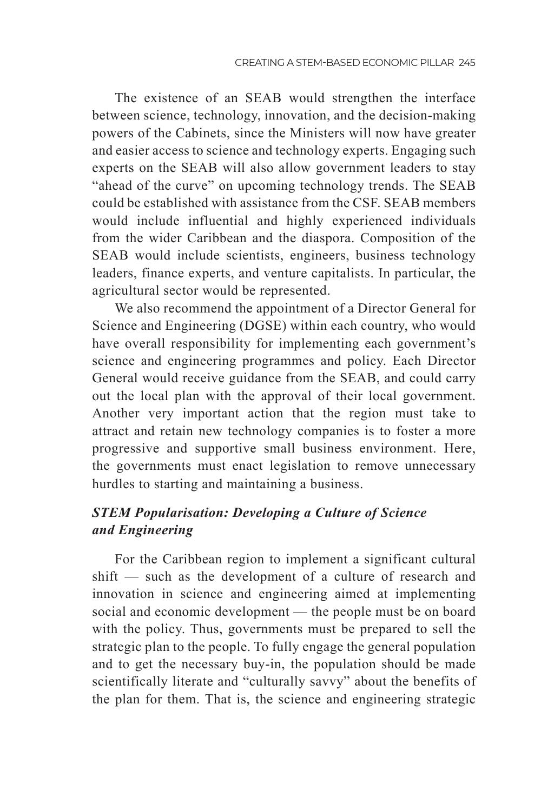The existence of an SEAB would strengthen the interface between science, technology, innovation, and the decision-making powers of the Cabinets, since the Ministers will now have greater and easier access to science and technology experts. Engaging such experts on the SEAB will also allow government leaders to stay "ahead of the curve" on upcoming technology trends. The SEAB could be established with assistance from the CSF. SEAB members would include influential and highly experienced individuals from the wider Caribbean and the diaspora. Composition of the SEAB would include scientists, engineers, business technology leaders, finance experts, and venture capitalists. In particular, the agricultural sector would be represented.

We also recommend the appointment of a Director General for Science and Engineering (DGSE) within each country, who would have overall responsibility for implementing each government's science and engineering programmes and policy. Each Director General would receive guidance from the SEAB, and could carry out the local plan with the approval of their local government. Another very important action that the region must take to attract and retain new technology companies is to foster a more progressive and supportive small business environment. Here, the governments must enact legislation to remove unnecessary hurdles to starting and maintaining a business.

## *STEM Popularisation: Developing a Culture of Science and Engineering*

For the Caribbean region to implement a significant cultural shift — such as the development of a culture of research and innovation in science and engineering aimed at implementing social and economic development — the people must be on board with the policy. Thus, governments must be prepared to sell the strategic plan to the people. To fully engage the general population and to get the necessary buy-in, the population should be made scientifically literate and "culturally savvy" about the benefits of the plan for them. That is, the science and engineering strategic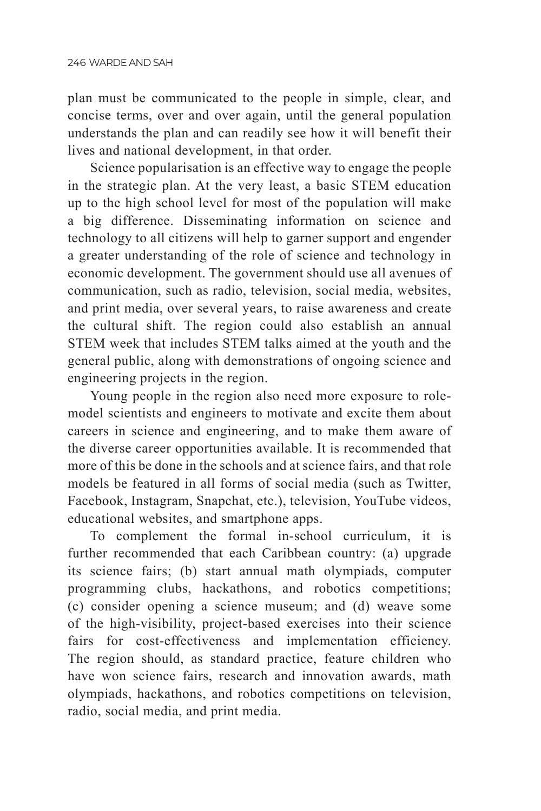plan must be communicated to the people in simple, clear, and concise terms, over and over again, until the general population understands the plan and can readily see how it will benefit their lives and national development, in that order.

Science popularisation is an effective way to engage the people in the strategic plan. At the very least, a basic STEM education up to the high school level for most of the population will make a big difference. Disseminating information on science and technology to all citizens will help to garner support and engender a greater understanding of the role of science and technology in economic development. The government should use all avenues of communication, such as radio, television, social media, websites, and print media, over several years, to raise awareness and create the cultural shift. The region could also establish an annual STEM week that includes STEM talks aimed at the youth and the general public, along with demonstrations of ongoing science and engineering projects in the region.

Young people in the region also need more exposure to rolemodel scientists and engineers to motivate and excite them about careers in science and engineering, and to make them aware of the diverse career opportunities available. It is recommended that more of this be done in the schools and at science fairs, and that role models be featured in all forms of social media (such as Twitter, Facebook, Instagram, Snapchat, etc.), television, YouTube videos, educational websites, and smartphone apps.

To complement the formal in-school curriculum, it is further recommended that each Caribbean country: (a) upgrade its science fairs; (b) start annual math olympiads, computer programming clubs, hackathons, and robotics competitions; (c) consider opening a science museum; and (d) weave some of the high-visibility, project-based exercises into their science fairs for cost-effectiveness and implementation efficiency. The region should, as standard practice, feature children who have won science fairs, research and innovation awards, math olympiads, hackathons, and robotics competitions on television, radio, social media, and print media.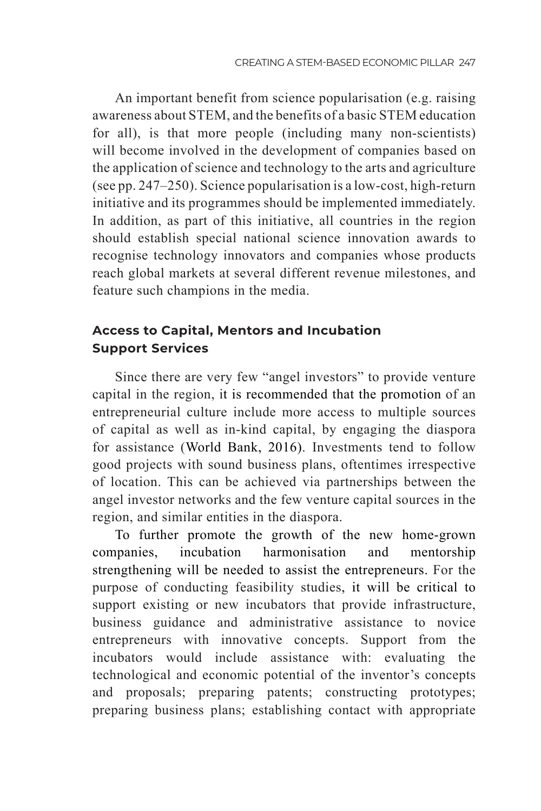An important benefit from science popularisation (e.g. raising awareness about STEM, and the benefits of a basic STEM education for all), is that more people (including many non-scientists) will become involved in the development of companies based on the application of science and technology to the arts and agriculture (see pp. 247–250). Science popularisation is a low-cost, high-return initiative and its programmes should be implemented immediately. In addition, as part of this initiative, all countries in the region should establish special national science innovation awards to recognise technology innovators and companies whose products reach global markets at several different revenue milestones, and feature such champions in the media.

## **Access to Capital, Mentors and Incubation Support Services**

Since there are very few "angel investors" to provide venture capital in the region, it is recommended that the promotion of an entrepreneurial culture include more access to multiple sources of capital as well as in-kind capital, by engaging the diaspora for assistance (World Bank, 2016). Investments tend to follow good projects with sound business plans, oftentimes irrespective of location. This can be achieved via partnerships between the angel investor networks and the few venture capital sources in the region, and similar entities in the diaspora.

To further promote the growth of the new home-grown companies, incubation harmonisation and mentorship strengthening will be needed to assist the entrepreneurs. For the purpose of conducting feasibility studies, it will be critical to support existing or new incubators that provide infrastructure, business guidance and administrative assistance to novice entrepreneurs with innovative concepts. Support from the incubators would include assistance with: evaluating the technological and economic potential of the inventor's concepts and proposals; preparing patents; constructing prototypes; preparing business plans; establishing contact with appropriate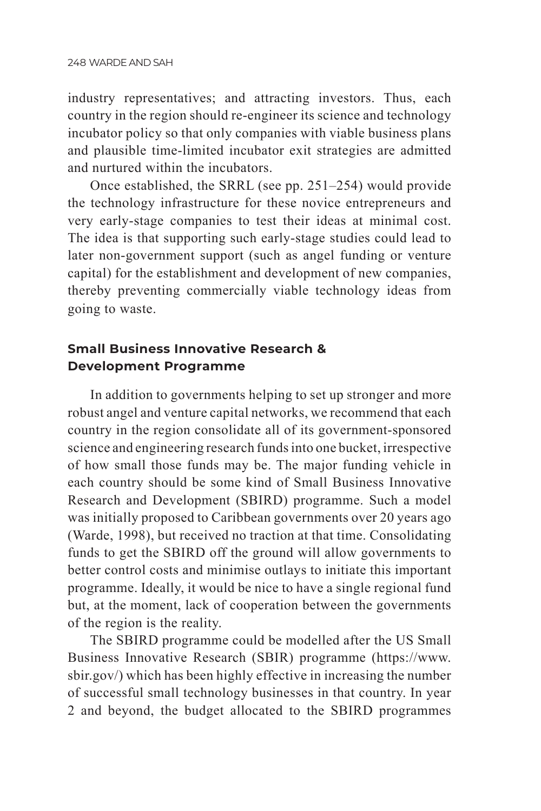industry representatives; and attracting investors. Thus, each country in the region should re-engineer its science and technology incubator policy so that only companies with viable business plans and plausible time-limited incubator exit strategies are admitted and nurtured within the incubators.

Once established, the SRRL (see pp. 251–254) would provide the technology infrastructure for these novice entrepreneurs and very early-stage companies to test their ideas at minimal cost. The idea is that supporting such early-stage studies could lead to later non-government support (such as angel funding or venture capital) for the establishment and development of new companies, thereby preventing commercially viable technology ideas from going to waste.

## **Small Business Innovative Research & Development Programme**

In addition to governments helping to set up stronger and more robust angel and venture capital networks, we recommend that each country in the region consolidate all of its government-sponsored science and engineering research funds into one bucket, irrespective of how small those funds may be. The major funding vehicle in each country should be some kind of Small Business Innovative Research and Development (SBIRD) programme. Such a model was initially proposed to Caribbean governments over 20 years ago (Warde, 1998), but received no traction at that time. Consolidating funds to get the SBIRD off the ground will allow governments to better control costs and minimise outlays to initiate this important programme. Ideally, it would be nice to have a single regional fund but, at the moment, lack of cooperation between the governments of the region is the reality.

The SBIRD programme could be modelled after the US Small Business Innovative Research (SBIR) programme (https://www. sbir.gov/) which has been highly effective in increasing the number of successful small technology businesses in that country. In year 2 and beyond, the budget allocated to the SBIRD programmes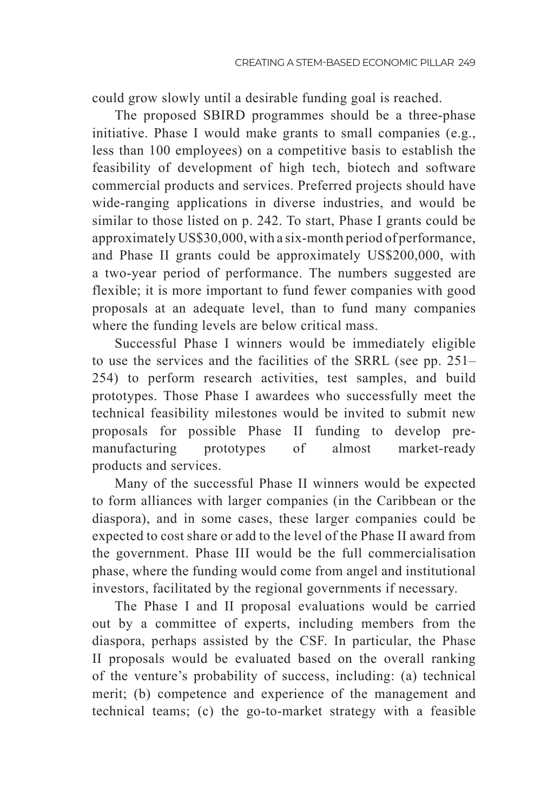could grow slowly until a desirable funding goal is reached.

The proposed SBIRD programmes should be a three-phase initiative. Phase I would make grants to small companies (e.g., less than 100 employees) on a competitive basis to establish the feasibility of development of high tech, biotech and software commercial products and services. Preferred projects should have wide-ranging applications in diverse industries, and would be similar to those listed on p. 242. To start, Phase I grants could be approximately US\$30,000, with a six-month period of performance, and Phase II grants could be approximately US\$200,000, with a two-year period of performance. The numbers suggested are flexible; it is more important to fund fewer companies with good proposals at an adequate level, than to fund many companies where the funding levels are below critical mass.

Successful Phase I winners would be immediately eligible to use the services and the facilities of the SRRL (see pp. 251– 254) to perform research activities, test samples, and build prototypes. Those Phase I awardees who successfully meet the technical feasibility milestones would be invited to submit new proposals for possible Phase II funding to develop premanufacturing prototypes of almost market-ready products and services.

Many of the successful Phase II winners would be expected to form alliances with larger companies (in the Caribbean or the diaspora), and in some cases, these larger companies could be expected to cost share or add to the level of the Phase II award from the government. Phase III would be the full commercialisation phase, where the funding would come from angel and institutional investors, facilitated by the regional governments if necessary.

The Phase I and II proposal evaluations would be carried out by a committee of experts, including members from the diaspora, perhaps assisted by the CSF. In particular, the Phase II proposals would be evaluated based on the overall ranking of the venture's probability of success, including: (a) technical merit; (b) competence and experience of the management and technical teams; (c) the go-to-market strategy with a feasible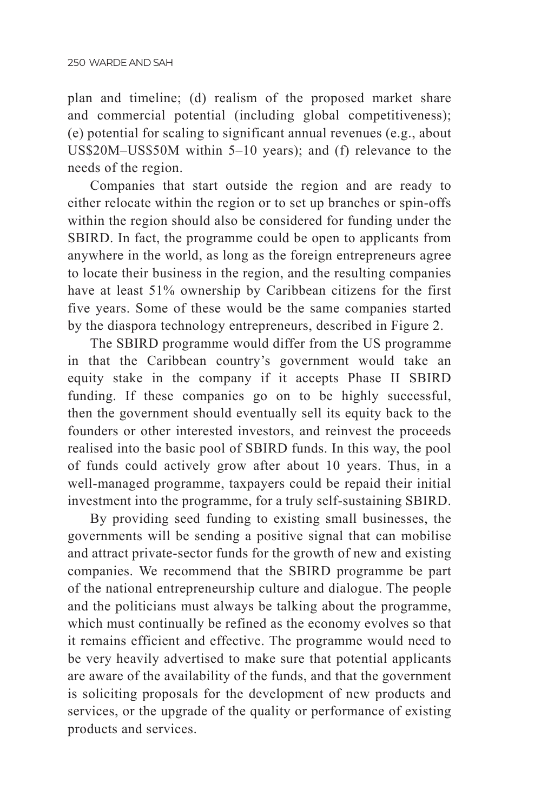plan and timeline; (d) realism of the proposed market share and commercial potential (including global competitiveness); (e) potential for scaling to significant annual revenues (e.g., about US\$20M–US\$50M within 5–10 years); and (f) relevance to the needs of the region.

Companies that start outside the region and are ready to either relocate within the region or to set up branches or spin-offs within the region should also be considered for funding under the SBIRD. In fact, the programme could be open to applicants from anywhere in the world, as long as the foreign entrepreneurs agree to locate their business in the region, and the resulting companies have at least 51% ownership by Caribbean citizens for the first five years. Some of these would be the same companies started by the diaspora technology entrepreneurs, described in Figure 2.

The SBIRD programme would differ from the US programme in that the Caribbean country's government would take an equity stake in the company if it accepts Phase II SBIRD funding. If these companies go on to be highly successful, then the government should eventually sell its equity back to the founders or other interested investors, and reinvest the proceeds realised into the basic pool of SBIRD funds. In this way, the pool of funds could actively grow after about 10 years. Thus, in a well-managed programme, taxpayers could be repaid their initial investment into the programme, for a truly self-sustaining SBIRD.

By providing seed funding to existing small businesses, the governments will be sending a positive signal that can mobilise and attract private-sector funds for the growth of new and existing companies. We recommend that the SBIRD programme be part of the national entrepreneurship culture and dialogue. The people and the politicians must always be talking about the programme, which must continually be refined as the economy evolves so that it remains efficient and effective. The programme would need to be very heavily advertised to make sure that potential applicants are aware of the availability of the funds, and that the government is soliciting proposals for the development of new products and services, or the upgrade of the quality or performance of existing products and services.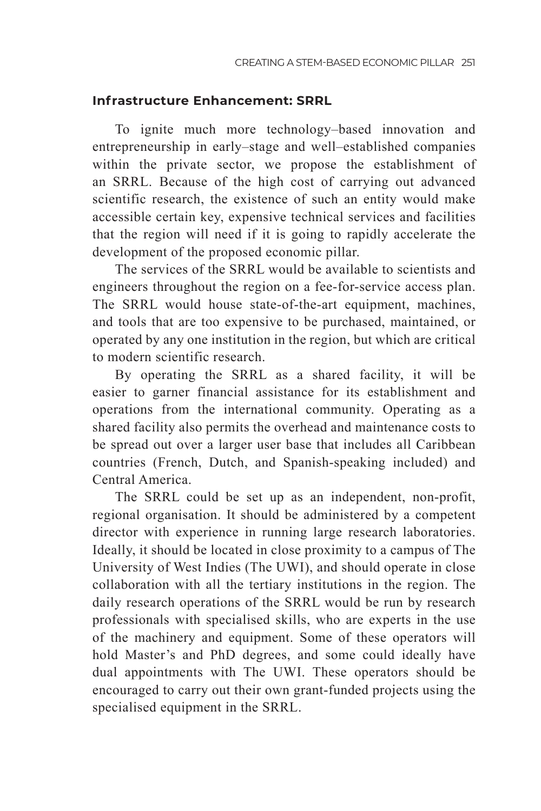### **Infrastructure Enhancement: SRRL**

To ignite much more technology–based innovation and entrepreneurship in early–stage and well–established companies within the private sector, we propose the establishment of an SRRL. Because of the high cost of carrying out advanced scientific research, the existence of such an entity would make accessible certain key, expensive technical services and facilities that the region will need if it is going to rapidly accelerate the development of the proposed economic pillar.

The services of the SRRL would be available to scientists and engineers throughout the region on a fee-for-service access plan. The SRRL would house state-of-the-art equipment, machines, and tools that are too expensive to be purchased, maintained, or operated by any one institution in the region, but which are critical to modern scientific research.

By operating the SRRL as a shared facility, it will be easier to garner financial assistance for its establishment and operations from the international community. Operating as a shared facility also permits the overhead and maintenance costs to be spread out over a larger user base that includes all Caribbean countries (French, Dutch, and Spanish-speaking included) and Central America.

The SRRL could be set up as an independent, non-profit, regional organisation. It should be administered by a competent director with experience in running large research laboratories. Ideally, it should be located in close proximity to a campus of The University of West Indies (The UWI), and should operate in close collaboration with all the tertiary institutions in the region. The daily research operations of the SRRL would be run by research professionals with specialised skills, who are experts in the use of the machinery and equipment. Some of these operators will hold Master's and PhD degrees, and some could ideally have dual appointments with The UWI. These operators should be encouraged to carry out their own grant-funded projects using the specialised equipment in the SRRL.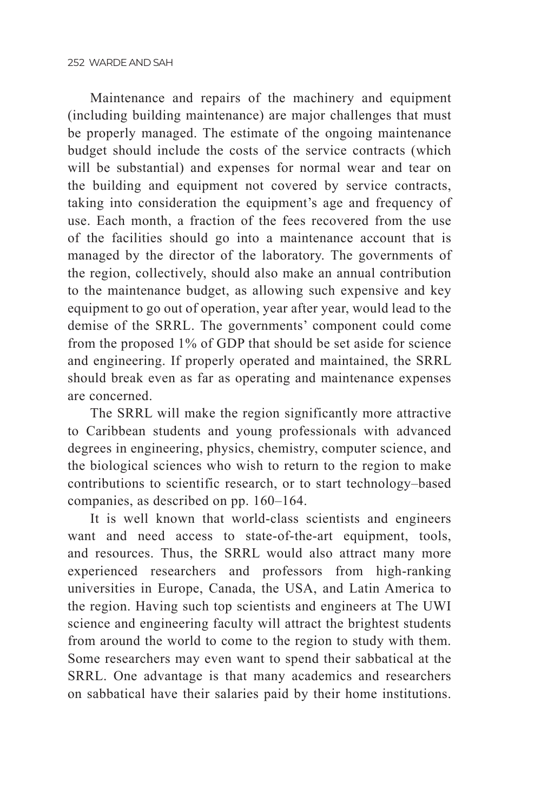Maintenance and repairs of the machinery and equipment (including building maintenance) are major challenges that must be properly managed. The estimate of the ongoing maintenance budget should include the costs of the service contracts (which will be substantial) and expenses for normal wear and tear on the building and equipment not covered by service contracts, taking into consideration the equipment's age and frequency of use. Each month, a fraction of the fees recovered from the use of the facilities should go into a maintenance account that is managed by the director of the laboratory. The governments of the region, collectively, should also make an annual contribution to the maintenance budget, as allowing such expensive and key equipment to go out of operation, year after year, would lead to the demise of the SRRL. The governments' component could come from the proposed 1% of GDP that should be set aside for science and engineering. If properly operated and maintained, the SRRL should break even as far as operating and maintenance expenses are concerned.

The SRRL will make the region significantly more attractive to Caribbean students and young professionals with advanced degrees in engineering, physics, chemistry, computer science, and the biological sciences who wish to return to the region to make contributions to scientific research, or to start technology–based companies, as described on pp. 160–164.

It is well known that world-class scientists and engineers want and need access to state-of-the-art equipment, tools, and resources. Thus, the SRRL would also attract many more experienced researchers and professors from high-ranking universities in Europe, Canada, the USA, and Latin America to the region. Having such top scientists and engineers at The UWI science and engineering faculty will attract the brightest students from around the world to come to the region to study with them. Some researchers may even want to spend their sabbatical at the SRRL. One advantage is that many academics and researchers on sabbatical have their salaries paid by their home institutions.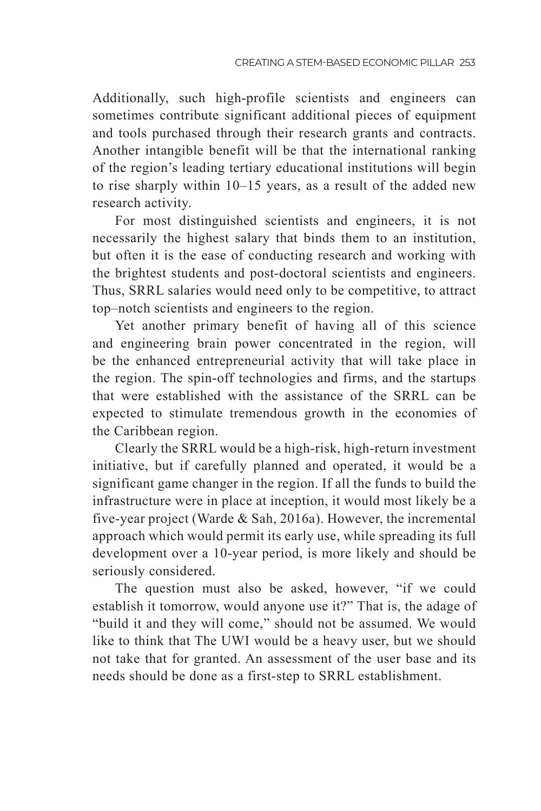Additionally, such high-profile scientists and engineers can sometimes contribute significant additional pieces of equipment and tools purchased through their research grants and contracts. Another intangible benefit will be that the international ranking of the region's leading tertiary educational institutions will begin to rise sharply within 10–15 years, as a result of the added new research activity.

For most distinguished scientists and engineers, it is not necessarily the highest salary that binds them to an institution, but often it is the ease of conducting research and working with the brightest students and post-doctoral scientists and engineers. Thus, SRRL salaries would need only to be competitive, to attract top–notch scientists and engineers to the region.

Yet another primary benefit of having all of this science and engineering brain power concentrated in the region, will be the enhanced entrepreneurial activity that will take place in the region. The spin-off technologies and firms, and the startups that were established with the assistance of the SRRL can be expected to stimulate tremendous growth in the economies of the Caribbean region.

Clearly the SRRL would be a high-risk, high-return investment initiative, but if carefully planned and operated, it would be a significant game changer in the region. If all the funds to build the infrastructure were in place at inception, it would most likely be a five-year project (Warde & Sah, 2016a). However, the incremental approach which would permit its early use, while spreading its full development over a 10-year period, is more likely and should be seriously considered.

The question must also be asked, however, "if we could establish it tomorrow, would anyone use it?" That is, the adage of "build it and they will come," should not be assumed. We would like to think that The UWI would be a heavy user, but we should not take that for granted. An assessment of the user base and its needs should be done as a first-step to SRRL establishment.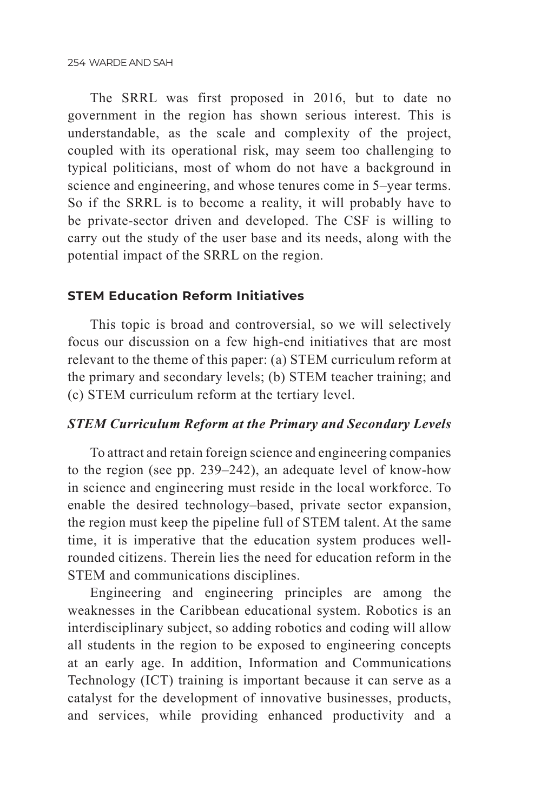The SRRL was first proposed in 2016, but to date no government in the region has shown serious interest. This is understandable, as the scale and complexity of the project, coupled with its operational risk, may seem too challenging to typical politicians, most of whom do not have a background in science and engineering, and whose tenures come in 5–year terms. So if the SRRL is to become a reality, it will probably have to be private-sector driven and developed. The CSF is willing to carry out the study of the user base and its needs, along with the potential impact of the SRRL on the region.

#### **STEM Education Reform Initiatives**

This topic is broad and controversial, so we will selectively focus our discussion on a few high-end initiatives that are most relevant to the theme of this paper: (a) STEM curriculum reform at the primary and secondary levels; (b) STEM teacher training; and (c) STEM curriculum reform at the tertiary level.

#### *STEM Curriculum Reform at the Primary and Secondary Levels*

To attract and retain foreign science and engineering companies to the region (see pp. 239–242), an adequate level of know-how in science and engineering must reside in the local workforce. To enable the desired technology–based, private sector expansion, the region must keep the pipeline full of STEM talent. At the same time, it is imperative that the education system produces wellrounded citizens. Therein lies the need for education reform in the STEM and communications disciplines.

Engineering and engineering principles are among the weaknesses in the Caribbean educational system. Robotics is an interdisciplinary subject, so adding robotics and coding will allow all students in the region to be exposed to engineering concepts at an early age. In addition, Information and Communications Technology (ICT) training is important because it can serve as a catalyst for the development of innovative businesses, products, and services, while providing enhanced productivity and a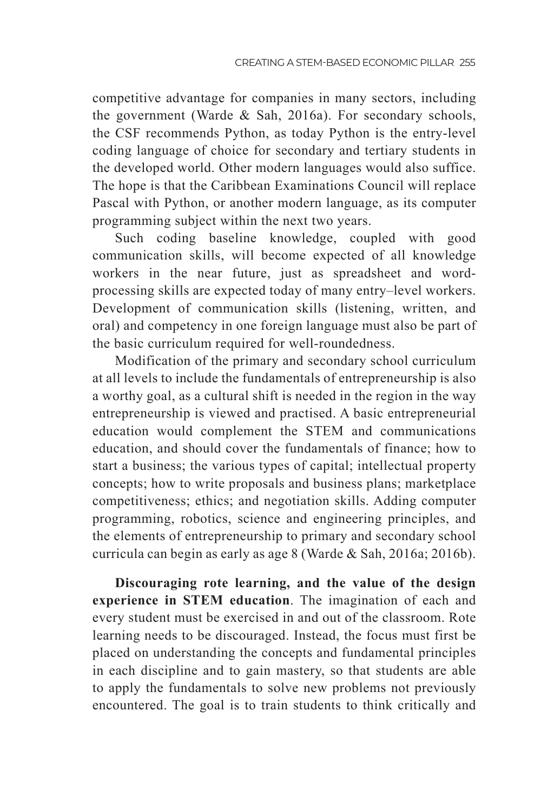competitive advantage for companies in many sectors, including the government (Warde & Sah, 2016a). For secondary schools, the CSF recommends Python, as today Python is the entry-level coding language of choice for secondary and tertiary students in the developed world. Other modern languages would also suffice. The hope is that the Caribbean Examinations Council will replace Pascal with Python, or another modern language, as its computer programming subject within the next two years.

Such coding baseline knowledge, coupled with good communication skills, will become expected of all knowledge workers in the near future, just as spreadsheet and wordprocessing skills are expected today of many entry–level workers. Development of communication skills (listening, written, and oral) and competency in one foreign language must also be part of the basic curriculum required for well-roundedness.

Modification of the primary and secondary school curriculum at all levels to include the fundamentals of entrepreneurship is also a worthy goal, as a cultural shift is needed in the region in the way entrepreneurship is viewed and practised. A basic entrepreneurial education would complement the STEM and communications education, and should cover the fundamentals of finance; how to start a business; the various types of capital; intellectual property concepts; how to write proposals and business plans; marketplace competitiveness; ethics; and negotiation skills. Adding computer programming, robotics, science and engineering principles, and the elements of entrepreneurship to primary and secondary school curricula can begin as early as age 8 (Warde & Sah, 2016a; 2016b).

**Discouraging rote learning, and the value of the design experience in STEM education**. The imagination of each and every student must be exercised in and out of the classroom. Rote learning needs to be discouraged. Instead, the focus must first be placed on understanding the concepts and fundamental principles in each discipline and to gain mastery, so that students are able to apply the fundamentals to solve new problems not previously encountered. The goal is to train students to think critically and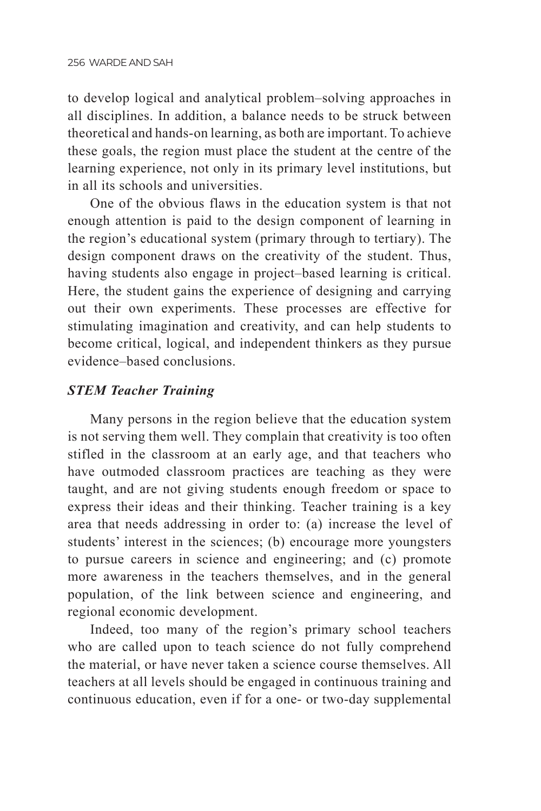to develop logical and analytical problem–solving approaches in all disciplines. In addition, a balance needs to be struck between theoretical and hands-on learning, as both are important. To achieve these goals, the region must place the student at the centre of the learning experience, not only in its primary level institutions, but in all its schools and universities.

One of the obvious flaws in the education system is that not enough attention is paid to the design component of learning in the region's educational system (primary through to tertiary). The design component draws on the creativity of the student. Thus, having students also engage in project–based learning is critical. Here, the student gains the experience of designing and carrying out their own experiments. These processes are effective for stimulating imagination and creativity, and can help students to become critical, logical, and independent thinkers as they pursue evidence–based conclusions.

### *STEM Teacher Training*

Many persons in the region believe that the education system is not serving them well. They complain that creativity is too often stifled in the classroom at an early age, and that teachers who have outmoded classroom practices are teaching as they were taught, and are not giving students enough freedom or space to express their ideas and their thinking. Teacher training is a key area that needs addressing in order to: (a) increase the level of students' interest in the sciences; (b) encourage more youngsters to pursue careers in science and engineering; and (c) promote more awareness in the teachers themselves, and in the general population, of the link between science and engineering, and regional economic development.

Indeed, too many of the region's primary school teachers who are called upon to teach science do not fully comprehend the material, or have never taken a science course themselves. All teachers at all levels should be engaged in continuous training and continuous education, even if for a one- or two-day supplemental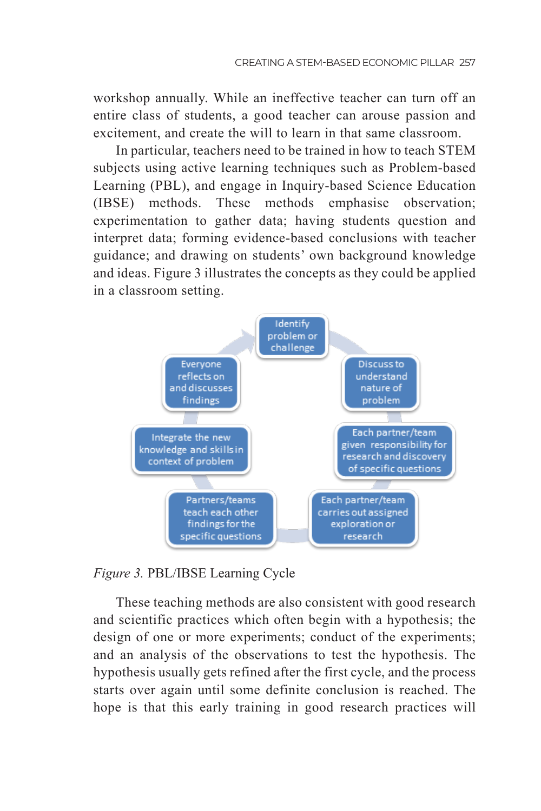workshop annually. While an ineffective teacher can turn off an entire class of students, a good teacher can arouse passion and excitement, and create the will to learn in that same classroom.

In particular, teachers need to be trained in how to teach STEM subjects using active learning techniques such as Problem-based Learning (PBL), and engage in Inquiry-based Science Education (IBSE) methods. These methods emphasise observation; experimentation to gather data; having students question and interpret data; forming evidence-based conclusions with teacher guidance; and drawing on students' own background knowledge and ideas. Figure 3 illustrates the concepts as they could be applied in a classroom setting.



#### *Figure 3.* PBL/IBSE Learning Cycle

These teaching methods are also consistent with good research and scientific practices which often begin with a hypothesis; the design of one or more experiments; conduct of the experiments; and an analysis of the observations to test the hypothesis. The hypothesis usually gets refined after the first cycle, and the process starts over again until some definite conclusion is reached. The hope is that this early training in good research practices will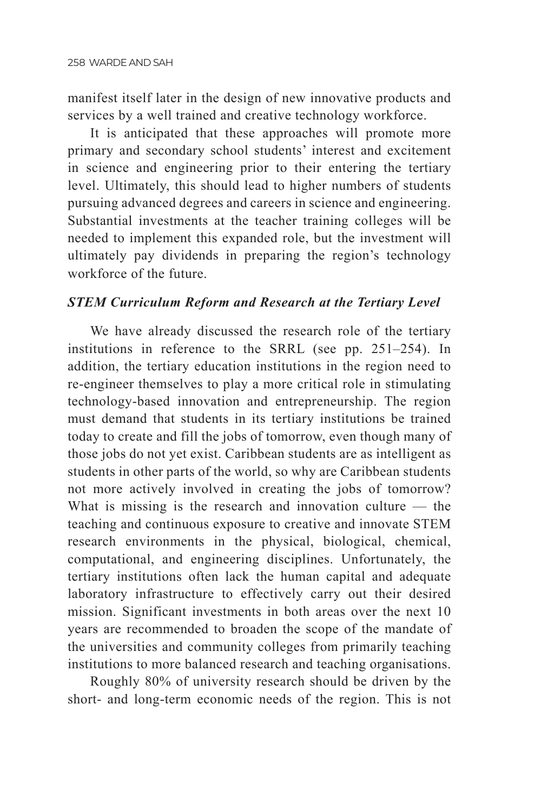manifest itself later in the design of new innovative products and services by a well trained and creative technology workforce.

It is anticipated that these approaches will promote more primary and secondary school students' interest and excitement in science and engineering prior to their entering the tertiary level. Ultimately, this should lead to higher numbers of students pursuing advanced degrees and careers in science and engineering. Substantial investments at the teacher training colleges will be needed to implement this expanded role, but the investment will ultimately pay dividends in preparing the region's technology workforce of the future.

#### *STEM Curriculum Reform and Research at the Tertiary Level*

We have already discussed the research role of the tertiary institutions in reference to the SRRL (see pp. 251–254). In addition, the tertiary education institutions in the region need to re-engineer themselves to play a more critical role in stimulating technology-based innovation and entrepreneurship. The region must demand that students in its tertiary institutions be trained today to create and fill the jobs of tomorrow, even though many of those jobs do not yet exist. Caribbean students are as intelligent as students in other parts of the world, so why are Caribbean students not more actively involved in creating the jobs of tomorrow? What is missing is the research and innovation culture  $-$  the teaching and continuous exposure to creative and innovate STEM research environments in the physical, biological, chemical, computational, and engineering disciplines. Unfortunately, the tertiary institutions often lack the human capital and adequate laboratory infrastructure to effectively carry out their desired mission. Significant investments in both areas over the next 10 years are recommended to broaden the scope of the mandate of the universities and community colleges from primarily teaching institutions to more balanced research and teaching organisations.

Roughly 80% of university research should be driven by the short- and long-term economic needs of the region. This is not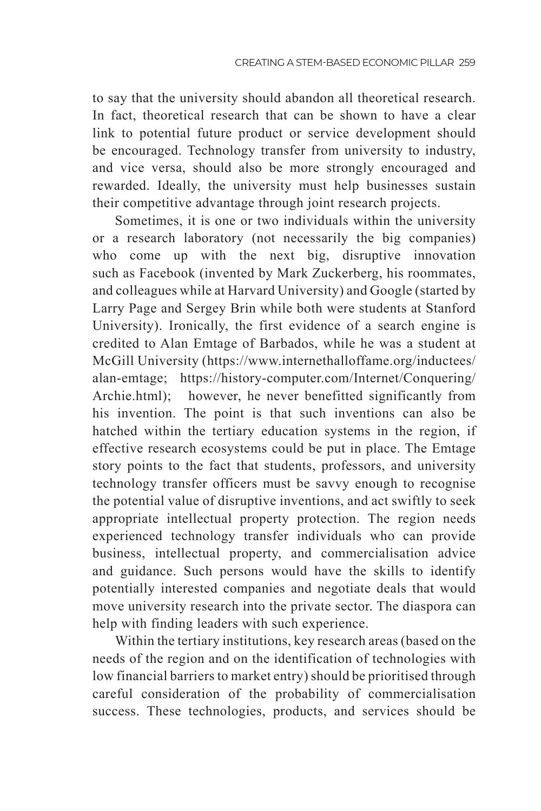to say that the university should abandon all theoretical research. In fact, theoretical research that can be shown to have a clear link to potential future product or service development should be encouraged. Technology transfer from university to industry, and vice versa, should also be more strongly encouraged and rewarded. Ideally, the university must help businesses sustain their competitive advantage through joint research projects.

Sometimes, it is one or two individuals within the university or a research laboratory (not necessarily the big companies) who come up with the next big, disruptive innovation such as Facebook (invented by Mark Zuckerberg, his roommates, and colleagues while at Harvard University) and Google (started by Larry Page and Sergey Brin while both were students at Stanford University). Ironically, the first evidence of a search engine is credited to Alan Emtage of Barbados, while he was a student at McGill University (https://www.internethalloffame.org/inductees/ alan-emtage; https://history-computer.com/Internet/Conquering/ Archie.html); however, he never benefitted significantly from his invention. The point is that such inventions can also be hatched within the tertiary education systems in the region, if effective research ecosystems could be put in place. The Emtage story points to the fact that students, professors, and university technology transfer officers must be savvy enough to recognise the potential value of disruptive inventions, and act swiftly to seek appropriate intellectual property protection. The region needs experienced technology transfer individuals who can provide business, intellectual property, and commercialisation advice and guidance. Such persons would have the skills to identify potentially interested companies and negotiate deals that would move university research into the private sector. The diaspora can help with finding leaders with such experience.

Within the tertiary institutions, key research areas (based on the needs of the region and on the identification of technologies with low financial barriers to market entry) should be prioritised through careful consideration of the probability of commercialisation success. These technologies, products, and services should be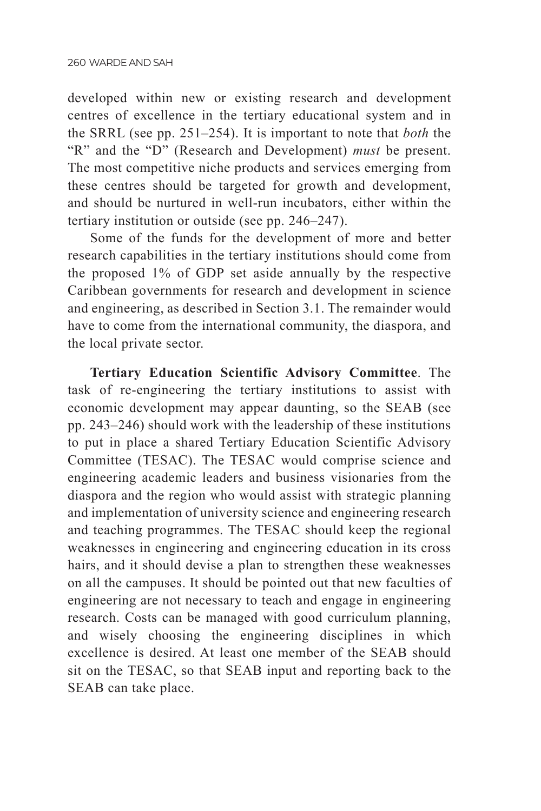developed within new or existing research and development centres of excellence in the tertiary educational system and in the SRRL (see pp. 251–254). It is important to note that *both* the "R" and the "D" (Research and Development) *must* be present. The most competitive niche products and services emerging from these centres should be targeted for growth and development, and should be nurtured in well-run incubators, either within the tertiary institution or outside (see pp. 246–247).

Some of the funds for the development of more and better research capabilities in the tertiary institutions should come from the proposed 1% of GDP set aside annually by the respective Caribbean governments for research and development in science and engineering, as described in Section 3.1. The remainder would have to come from the international community, the diaspora, and the local private sector.

**Tertiary Education Scientific Advisory Committee**. The task of re-engineering the tertiary institutions to assist with economic development may appear daunting, so the SEAB (see pp. 243–246) should work with the leadership of these institutions to put in place a shared Tertiary Education Scientific Advisory Committee (TESAC). The TESAC would comprise science and engineering academic leaders and business visionaries from the diaspora and the region who would assist with strategic planning and implementation of university science and engineering research and teaching programmes. The TESAC should keep the regional weaknesses in engineering and engineering education in its cross hairs, and it should devise a plan to strengthen these weaknesses on all the campuses. It should be pointed out that new faculties of engineering are not necessary to teach and engage in engineering research. Costs can be managed with good curriculum planning, and wisely choosing the engineering disciplines in which excellence is desired. At least one member of the SEAB should sit on the TESAC, so that SEAB input and reporting back to the SEAB can take place.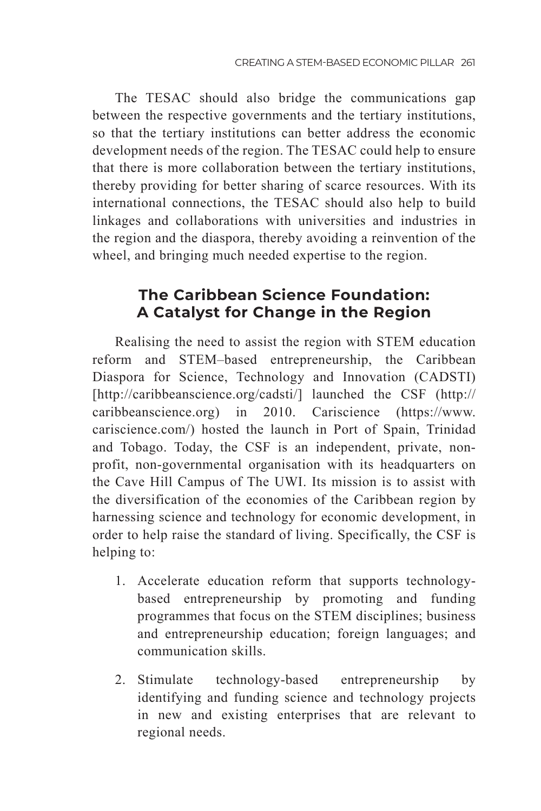The TESAC should also bridge the communications gap between the respective governments and the tertiary institutions, so that the tertiary institutions can better address the economic development needs of the region. The TESAC could help to ensure that there is more collaboration between the tertiary institutions, thereby providing for better sharing of scarce resources. With its international connections, the TESAC should also help to build linkages and collaborations with universities and industries in the region and the diaspora, thereby avoiding a reinvention of the wheel, and bringing much needed expertise to the region.

## **The Caribbean Science Foundation: A Catalyst for Change in the Region**

Realising the need to assist the region with STEM education reform and STEM–based entrepreneurship, the Caribbean Diaspora for Science, Technology and Innovation (CADSTI) [http://caribbeanscience.org/cadsti/] launched the CSF (http:// caribbeanscience.org) in 2010. Cariscience (https://www. cariscience.com/) hosted the launch in Port of Spain, Trinidad and Tobago. Today, the CSF is an independent, private, nonprofit, non-governmental organisation with its headquarters on the Cave Hill Campus of The UWI. Its mission is to assist with the diversification of the economies of the Caribbean region by harnessing science and technology for economic development, in order to help raise the standard of living. Specifically, the CSF is helping to:

- 1. Accelerate education reform that supports technologybased entrepreneurship by promoting and funding programmes that focus on the STEM disciplines; business and entrepreneurship education; foreign languages; and communication skills.
- 2. Stimulate technology-based entrepreneurship by identifying and funding science and technology projects in new and existing enterprises that are relevant to regional needs.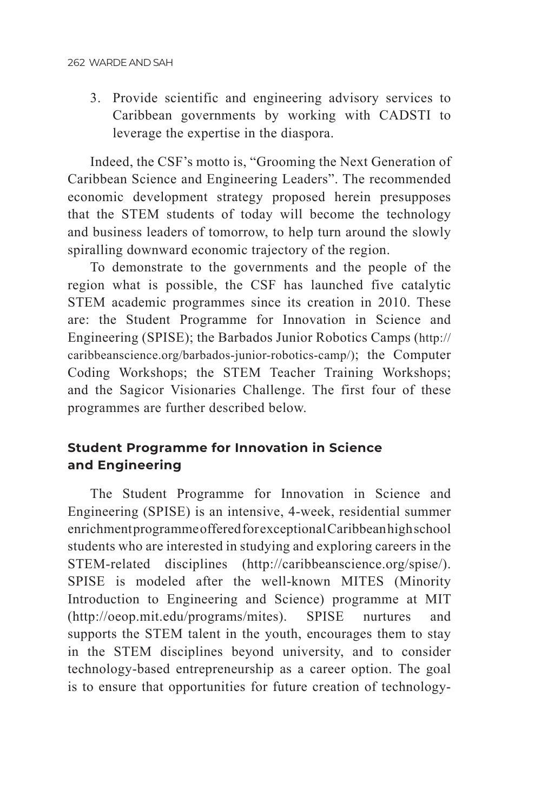3. Provide scientific and engineering advisory services to Caribbean governments by working with CADSTI to leverage the expertise in the diaspora.

Indeed, the CSF's motto is, "Grooming the Next Generation of Caribbean Science and Engineering Leaders". The recommended economic development strategy proposed herein presupposes that the STEM students of today will become the technology and business leaders of tomorrow, to help turn around the slowly spiralling downward economic trajectory of the region.

To demonstrate to the governments and the people of the region what is possible, the CSF has launched five catalytic STEM academic programmes since its creation in 2010. These are: the Student Programme for Innovation in Science and Engineering (SPISE); the Barbados Junior Robotics Camps (http:// caribbeanscience.org/barbados-junior-robotics-camp/); the Computer Coding Workshops; the STEM Teacher Training Workshops; and the Sagicor Visionaries Challenge. The first four of these programmes are further described below.

## **Student Programme for Innovation in Science and Engineering**

The Student Programme for Innovation in Science and Engineering (SPISE) is an intensive, 4-week, residential summer enrichment programme offered for exceptional Caribbean high school students who are interested in studying and exploring careers in the STEM-related disciplines (http://caribbeanscience.org/spise/). SPISE is modeled after the well-known MITES (Minority Introduction to Engineering and Science) programme at MIT (http://oeop.mit.edu/programs/mites). SPISE nurtures and supports the STEM talent in the youth, encourages them to stay in the STEM disciplines beyond university, and to consider technology-based entrepreneurship as a career option. The goal is to ensure that opportunities for future creation of technology-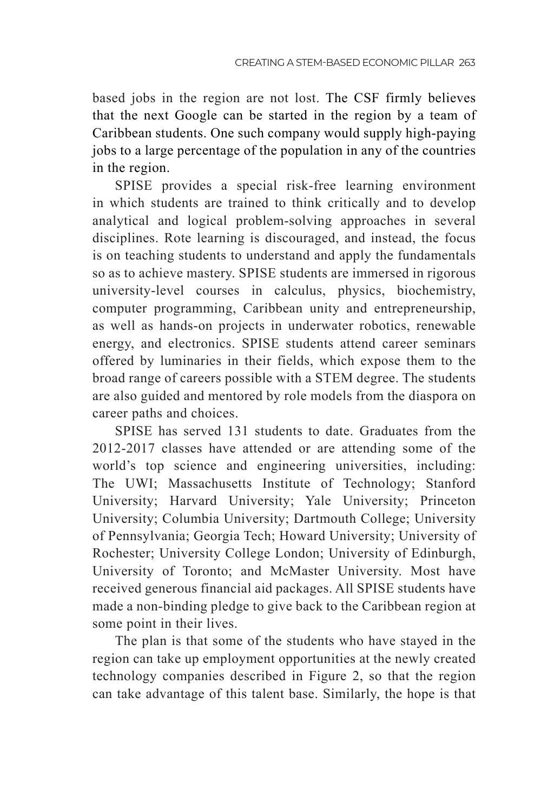based jobs in the region are not lost. The CSF firmly believes that the next Google can be started in the region by a team of Caribbean students. One such company would supply high-paying jobs to a large percentage of the population in any of the countries in the region.

SPISE provides a special risk-free learning environment in which students are trained to think critically and to develop analytical and logical problem-solving approaches in several disciplines. Rote learning is discouraged, and instead, the focus is on teaching students to understand and apply the fundamentals so as to achieve mastery. SPISE students are immersed in rigorous university-level courses in calculus, physics, biochemistry, computer programming, Caribbean unity and entrepreneurship, as well as hands-on projects in underwater robotics, renewable energy, and electronics. SPISE students attend career seminars offered by luminaries in their fields, which expose them to the broad range of careers possible with a STEM degree. The students are also guided and mentored by role models from the diaspora on career paths and choices.

SPISE has served 131 students to date. Graduates from the 2012-2017 classes have attended or are attending some of the world's top science and engineering universities, including: The UWI; Massachusetts Institute of Technology; Stanford University; Harvard University; Yale University; Princeton University; Columbia University; Dartmouth College; University of Pennsylvania; Georgia Tech; Howard University; University of Rochester; University College London; University of Edinburgh, University of Toronto; and McMaster University. Most have received generous financial aid packages. All SPISE students have made a non-binding pledge to give back to the Caribbean region at some point in their lives.

The plan is that some of the students who have stayed in the region can take up employment opportunities at the newly created technology companies described in Figure 2, so that the region can take advantage of this talent base. Similarly, the hope is that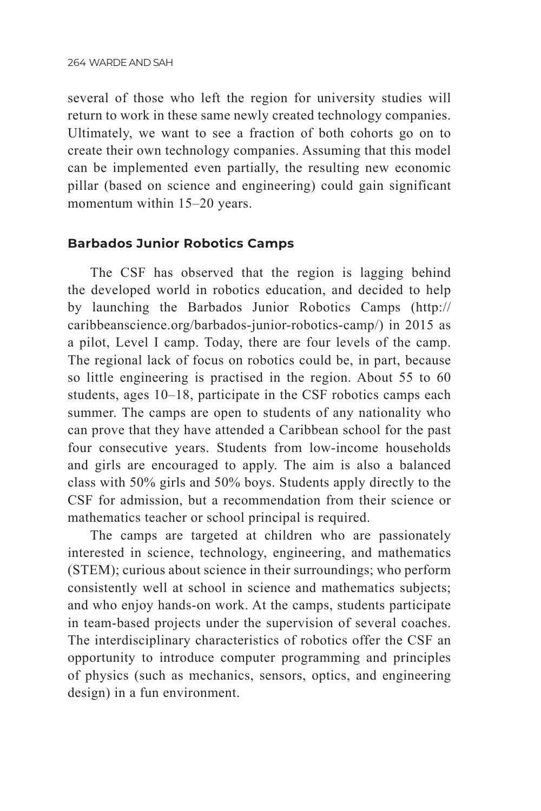several of those who left the region for university studies will return to work in these same newly created technology companies. Ultimately, we want to see a fraction of both cohorts go on to create their own technology companies. Assuming that this model can be implemented even partially, the resulting new economic pillar (based on science and engineering) could gain significant momentum within 15–20 years.

#### **Barbados Junior Robotics Camps**

The CSF has observed that the region is lagging behind the developed world in robotics education, and decided to help by launching the Barbados Junior Robotics Camps (http:// caribbeanscience.org/barbados-junior-robotics-camp/) in 2015 as a pilot, Level I camp. Today, there are four levels of the camp. The regional lack of focus on robotics could be, in part, because so little engineering is practised in the region. About 55 to 60 students, ages 10–18, participate in the CSF robotics camps each summer. The camps are open to students of any nationality who can prove that they have attended a Caribbean school for the past four consecutive years. Students from low-income households and girls are encouraged to apply. The aim is also a balanced class with 50% girls and 50% boys. Students apply directly to the CSF for admission, but a recommendation from their science or mathematics teacher or school principal is required.

The camps are targeted at children who are passionately interested in science, technology, engineering, and mathematics (STEM); curious about science in their surroundings; who perform consistently well at school in science and mathematics subjects; and who enjoy hands-on work. At the camps, students participate in team-based projects under the supervision of several coaches. The interdisciplinary characteristics of robotics offer the CSF an opportunity to introduce computer programming and principles of physics (such as mechanics, sensors, optics, and engineering design) in a fun environment.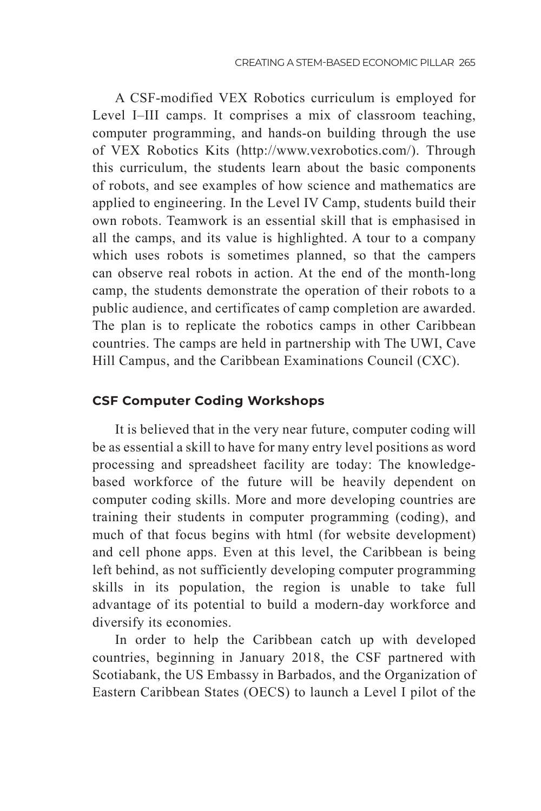**TEST** A CSF-modified VEX Robotics curriculum is employed for Level I–III camps. It comprises a mix of classroom teaching, computer programming, and hands-on building through the use of VEX Robotics Kits (http://www.vexrobotics.com/). Through this curriculum, the students learn about the basic components of robots, and see examples of how science and mathematics are applied to engineering. In the Level IV Camp, students build their own robots. Teamwork is an essential skill that is emphasised in all the camps, and its value is highlighted. A tour to a company which uses robots is sometimes planned, so that the campers can observe real robots in action. At the end of the month-long camp, the students demonstrate the operation of their robots to a public audience, and certificates of camp completion are awarded. The plan is to replicate the robotics camps in other Caribbean countries. The camps are held in partnership with The UWI, Cave Hill Campus, and the Caribbean Examinations Council (CXC).

#### **CSF Computer Coding Workshops**

It is believed that in the very near future, computer coding will be as essential a skill to have for many entry level positions as word processing and spreadsheet facility are today: The knowledgebased workforce of the future will be heavily dependent on computer coding skills. More and more developing countries are training their students in computer programming (coding), and much of that focus begins with html (for website development) and cell phone apps. Even at this level, the Caribbean is being left behind, as not sufficiently developing computer programming skills in its population, the region is unable to take full advantage of its potential to build a modern-day workforce and diversify its economies.

In order to help the Caribbean catch up with developed countries, beginning in January 2018, the CSF partnered with Scotiabank, the US Embassy in Barbados, and the Organization of Eastern Caribbean States (OECS) to launch a Level I pilot of the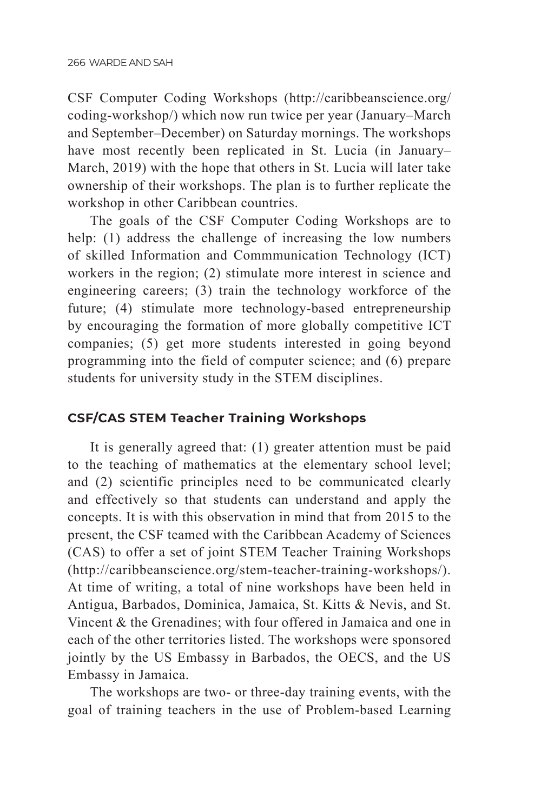**TEST** CSF Computer Coding Workshops (http://caribbeanscience.org/ coding-workshop/) which now run twice per year (January–March and September–December) on Saturday mornings. The workshops have most recently been replicated in St. Lucia (in January– March, 2019) with the hope that others in St. Lucia will later take ownership of their workshops. The plan is to further replicate the workshop in other Caribbean countries.

The goals of the CSF Computer Coding Workshops are to help: (1) address the challenge of increasing the low numbers of skilled Information and Commmunication Technology (ICT) workers in the region; (2) stimulate more interest in science and engineering careers; (3) train the technology workforce of the future; (4) stimulate more technology-based entrepreneurship by encouraging the formation of more globally competitive ICT companies; (5) get more students interested in going beyond programming into the field of computer science; and (6) prepare students for university study in the STEM disciplines.

#### **CSF/CAS STEM Teacher Training Workshops**

It is generally agreed that: (1) greater attention must be paid to the teaching of mathematics at the elementary school level; and (2) scientific principles need to be communicated clearly and effectively so that students can understand and apply the concepts. It is with this observation in mind that from 2015 to the present, the CSF teamed with the Caribbean Academy of Sciences (CAS) to offer a set of joint STEM Teacher Training Workshops (http://caribbeanscience.org/stem-teacher-training-workshops/). At time of writing, a total of nine workshops have been held in Antigua, Barbados, Dominica, Jamaica, St. Kitts & Nevis, and St. Vincent & the Grenadines; with four offered in Jamaica and one in each of the other territories listed. The workshops were sponsored jointly by the US Embassy in Barbados, the OECS, and the US Embassy in Jamaica.

The workshops are two- or three-day training events, with the goal of training teachers in the use of Problem-based Learning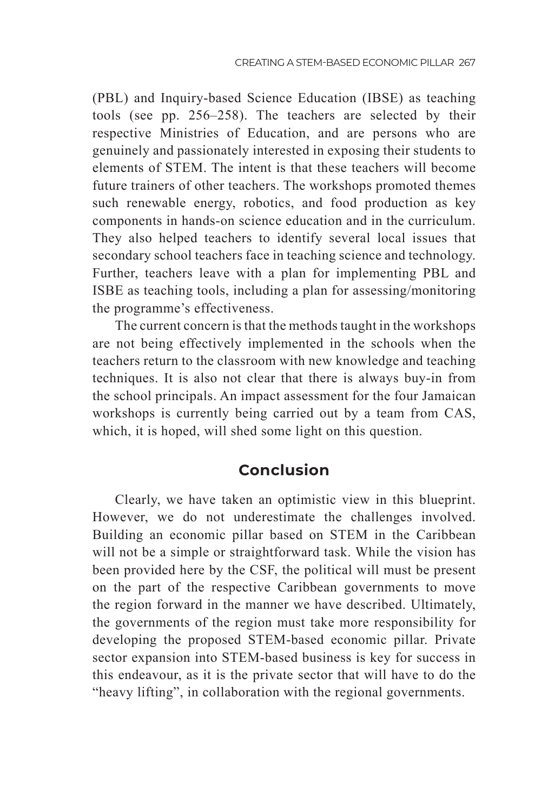**TEST** (PBL) and Inquiry-based Science Education (IBSE) as teaching tools (see pp. 256–258). The teachers are selected by their respective Ministries of Education, and are persons who are genuinely and passionately interested in exposing their students to elements of STEM. The intent is that these teachers will become future trainers of other teachers. The workshops promoted themes such renewable energy, robotics, and food production as key components in hands-on science education and in the curriculum. They also helped teachers to identify several local issues that secondary school teachers face in teaching science and technology. Further, teachers leave with a plan for implementing PBL and ISBE as teaching tools, including a plan for assessing/monitoring the programme's effectiveness.

The current concern is that the methods taught in the workshops are not being effectively implemented in the schools when the teachers return to the classroom with new knowledge and teaching techniques. It is also not clear that there is always buy-in from the school principals. An impact assessment for the four Jamaican workshops is currently being carried out by a team from CAS, which, it is hoped, will shed some light on this question.

## **Conclusion**

Clearly, we have taken an optimistic view in this blueprint. However, we do not underestimate the challenges involved. Building an economic pillar based on STEM in the Caribbean will not be a simple or straightforward task. While the vision has been provided here by the CSF, the political will must be present on the part of the respective Caribbean governments to move the region forward in the manner we have described. Ultimately, the governments of the region must take more responsibility for developing the proposed STEM-based economic pillar. Private sector expansion into STEM-based business is key for success in this endeavour, as it is the private sector that will have to do the "heavy lifting", in collaboration with the regional governments.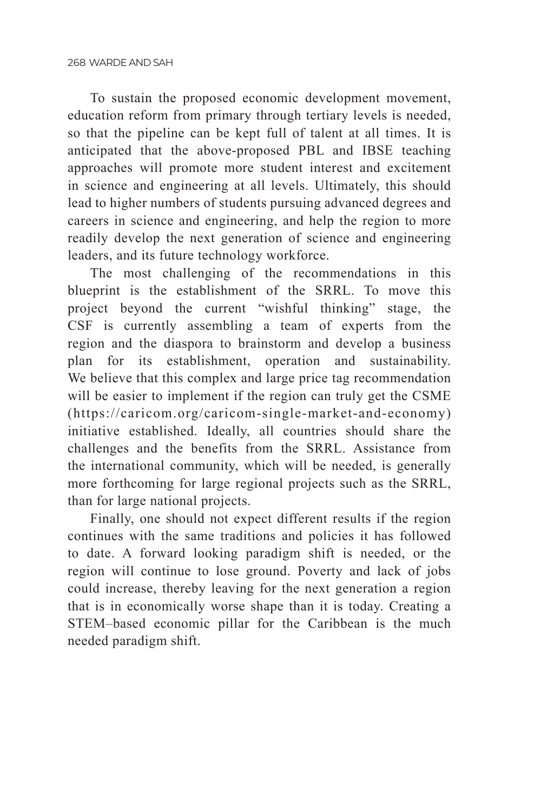To sustain the proposed economic development movement, education reform from primary through tertiary levels is needed, so that the pipeline can be kept full of talent at all times. It is anticipated that the above-proposed PBL and IBSE teaching approaches will promote more student interest and excitement in science and engineering at all levels. Ultimately, this should lead to higher numbers of students pursuing advanced degrees and careers in science and engineering, and help the region to more readily develop the next generation of science and engineering leaders, and its future technology workforce.

The most challenging of the recommendations in this blueprint is the establishment of the SRRL. To move this project beyond the current "wishful thinking" stage, the CSF is currently assembling a team of experts from the region and the diaspora to brainstorm and develop a business plan for its establishment, operation and sustainability. We believe that this complex and large price tag recommendation will be easier to implement if the region can truly get the CSME (https://caricom.org/caricom-single-market-and-economy) initiative established. Ideally, all countries should share the challenges and the benefits from the SRRL. Assistance from the international community, which will be needed, is generally more forthcoming for large regional projects such as the SRRL, than for large national projects.

Finally, one should not expect different results if the region continues with the same traditions and policies it has followed to date. A forward looking paradigm shift is needed, or the region will continue to lose ground. Poverty and lack of jobs could increase, thereby leaving for the next generation a region that is in economically worse shape than it is today. Creating a STEM–based economic pillar for the Caribbean is the much needed paradigm shift.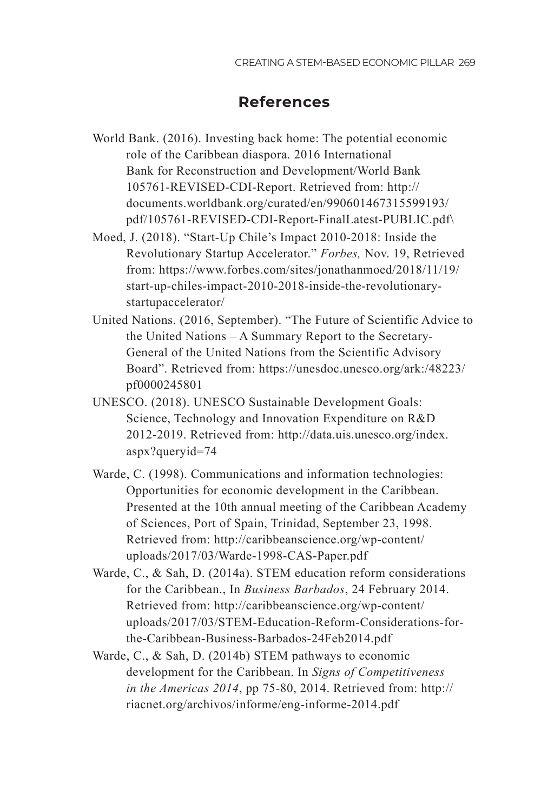## **TEST References**

- World Bank. (2016). Investing back home: The potential economic role of the Caribbean diaspora. 2016 International Bank for Reconstruction and Development/World Bank 105761-REVISED-CDI-Report. Retrieved from: http:// documents.worldbank.org/curated/en/990601467315599193/ pdf/105761-REVISED-CDI-Report-FinalLatest-PUBLIC.pdf\
- Moed, J. (2018). "Start-Up Chile's Impact 2010-2018: Inside the Revolutionary Startup Accelerator." *Forbes,* Nov. 19, Retrieved from: https://www.forbes.com/sites/jonathanmoed/2018/11/19/ start-up-chiles-impact-2010-2018-inside-the-revolutionarystartupaccelerator/
- United Nations. (2016, September). "The Future of Scientific Advice to the United Nations – A Summary Report to the Secretary-General of the United Nations from the Scientific Advisory Board". Retrieved from: https://unesdoc.unesco.org/ark:/48223/ pf0000245801
- UNESCO. (2018). UNESCO Sustainable Development Goals: Science, Technology and Innovation Expenditure on R&D 2012-2019. Retrieved from: http://data.uis.unesco.org/index. aspx?queryid=74
- Warde, C. (1998). Communications and information technologies: Opportunities for economic development in the Caribbean. Presented at the 10th annual meeting of the Caribbean Academy of Sciences, Port of Spain, Trinidad, September 23, 1998. Retrieved from: http://caribbeanscience.org/wp-content/ uploads/2017/03/Warde-1998-CAS-Paper.pdf
- Warde, C., & Sah, D. (2014a). STEM education reform considerations for the Caribbean., In *Business Barbados*, 24 February 2014. Retrieved from: http://caribbeanscience.org/wp-content/ uploads/2017/03/STEM-Education-Reform-Considerations-forthe-Caribbean-Business-Barbados-24Feb2014.pdf
- Warde, C., & Sah, D. (2014b) STEM pathways to economic development for the Caribbean. In *Signs of Competitiveness in the Americas 2014*, pp 75-80, 2014. Retrieved from: http:// riacnet.org/archivos/informe/eng-informe-2014.pdf